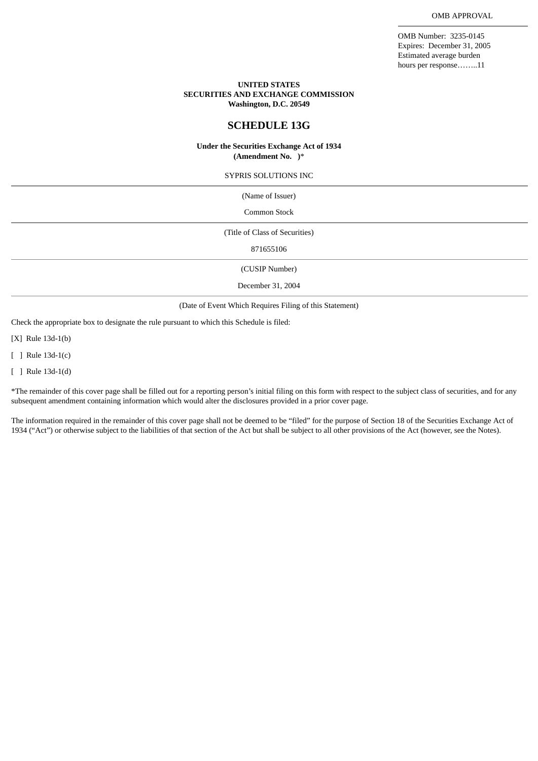OMB Number: 3235-0145 Expires: December 31, 2005 Estimated average burden hours per response……..11

### **UNITED STATES SECURITIES AND EXCHANGE COMMISSION Washington, D.C. 20549**

## **SCHEDULE 13G**

#### **Under the Securities Exchange Act of 1934 (Amendment No. )**\*

SYPRIS SOLUTIONS INC

(Name of Issuer)

Common Stock

(Title of Class of Securities)

871655106

(CUSIP Number)

December 31, 2004

(Date of Event Which Requires Filing of this Statement)

Check the appropriate box to designate the rule pursuant to which this Schedule is filed:

[X] Rule 13d-1(b)

[ ] Rule 13d-1(c)

[ ] Rule 13d-1(d)

\*The remainder of this cover page shall be filled out for a reporting person's initial filing on this form with respect to the subject class of securities, and for any subsequent amendment containing information which would alter the disclosures provided in a prior cover page.

The information required in the remainder of this cover page shall not be deemed to be "filed" for the purpose of Section 18 of the Securities Exchange Act of 1934 ("Act") or otherwise subject to the liabilities of that section of the Act but shall be subject to all other provisions of the Act (however, see the Notes).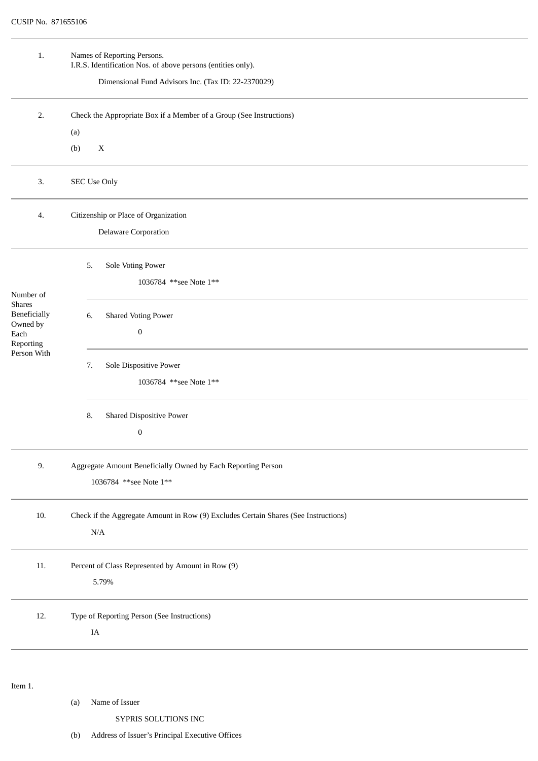| 1.                                                                                         | Names of Reporting Persons.<br>I.R.S. Identification Nos. of above persons (entities only). |  |  |  |  |
|--------------------------------------------------------------------------------------------|---------------------------------------------------------------------------------------------|--|--|--|--|
|                                                                                            | Dimensional Fund Advisors Inc. (Tax ID: 22-2370029)                                         |  |  |  |  |
| 2.                                                                                         | Check the Appropriate Box if a Member of a Group (See Instructions)                         |  |  |  |  |
|                                                                                            | (a)                                                                                         |  |  |  |  |
|                                                                                            | $\mathbf X$<br>(b)                                                                          |  |  |  |  |
| 3.                                                                                         | SEC Use Only                                                                                |  |  |  |  |
| 4.                                                                                         | Citizenship or Place of Organization                                                        |  |  |  |  |
|                                                                                            | <b>Delaware Corporation</b>                                                                 |  |  |  |  |
| Number of<br><b>Shares</b><br>Beneficially<br>Owned by<br>Each<br>Reporting<br>Person With | Sole Voting Power<br>5.                                                                     |  |  |  |  |
|                                                                                            | 1036784 ** see Note 1**                                                                     |  |  |  |  |
|                                                                                            | <b>Shared Voting Power</b><br>6.                                                            |  |  |  |  |
|                                                                                            | $\boldsymbol{0}$                                                                            |  |  |  |  |
|                                                                                            | Sole Dispositive Power<br>7.                                                                |  |  |  |  |
|                                                                                            | 1036784 ** see Note 1**                                                                     |  |  |  |  |
|                                                                                            | <b>Shared Dispositive Power</b><br>8.                                                       |  |  |  |  |
|                                                                                            | $\boldsymbol{0}$                                                                            |  |  |  |  |
| 9.                                                                                         | Aggregate Amount Beneficially Owned by Each Reporting Person                                |  |  |  |  |
|                                                                                            | 1036784 ** see Note 1**                                                                     |  |  |  |  |
| 10.                                                                                        | Check if the Aggregate Amount in Row (9) Excludes Certain Shares (See Instructions)         |  |  |  |  |
|                                                                                            | $\rm N/A$                                                                                   |  |  |  |  |
| $11. \,$                                                                                   | Percent of Class Represented by Amount in Row (9)                                           |  |  |  |  |
|                                                                                            | 5.79%                                                                                       |  |  |  |  |
| 12.                                                                                        | Type of Reporting Person (See Instructions)                                                 |  |  |  |  |
|                                                                                            | $\rm IA$                                                                                    |  |  |  |  |
|                                                                                            |                                                                                             |  |  |  |  |
| Item 1.                                                                                    |                                                                                             |  |  |  |  |

```
(a) Name of Issuer
```
SYPRIS SOLUTIONS INC

(b) Address of Issuer's Principal Executive Offices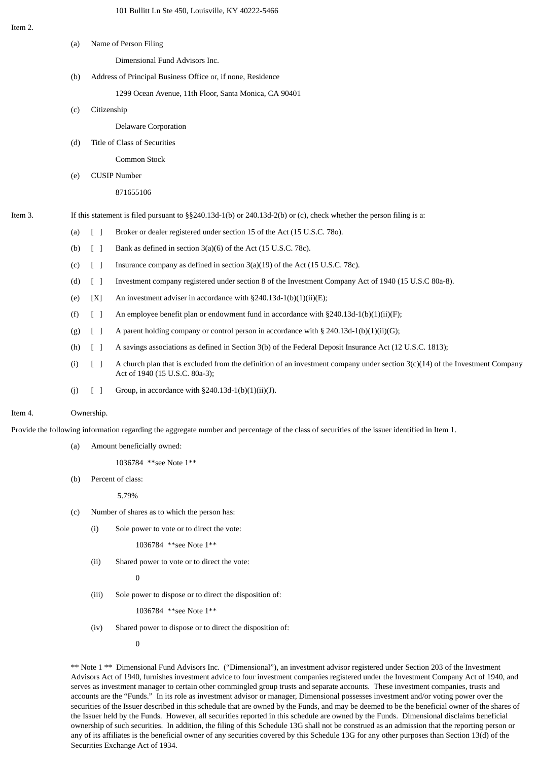| Item 2. |                                                                                                                        |                                 |                                                                                                                                                                  |  |  |
|---------|------------------------------------------------------------------------------------------------------------------------|---------------------------------|------------------------------------------------------------------------------------------------------------------------------------------------------------------|--|--|
|         | (a)                                                                                                                    |                                 | Name of Person Filing                                                                                                                                            |  |  |
|         |                                                                                                                        |                                 | Dimensional Fund Advisors Inc.                                                                                                                                   |  |  |
|         | (b)                                                                                                                    |                                 | Address of Principal Business Office or, if none, Residence                                                                                                      |  |  |
|         |                                                                                                                        |                                 | 1299 Ocean Avenue, 11th Floor, Santa Monica, CA 90401                                                                                                            |  |  |
|         | (c)                                                                                                                    | Citizenship                     |                                                                                                                                                                  |  |  |
|         |                                                                                                                        |                                 | <b>Delaware Corporation</b>                                                                                                                                      |  |  |
|         | (d)                                                                                                                    |                                 | Title of Class of Securities                                                                                                                                     |  |  |
|         |                                                                                                                        |                                 | Common Stock                                                                                                                                                     |  |  |
|         | (e)                                                                                                                    |                                 | <b>CUSIP Number</b>                                                                                                                                              |  |  |
|         |                                                                                                                        |                                 | 871655106                                                                                                                                                        |  |  |
| Item 3. | If this statement is filed pursuant to $\S$ 240.13d-1(b) or 240.13d-2(b) or (c), check whether the person filing is a: |                                 |                                                                                                                                                                  |  |  |
|         | (a)                                                                                                                    | $\begin{bmatrix} \end{bmatrix}$ | Broker or dealer registered under section 15 of the Act (15 U.S.C. 780).                                                                                         |  |  |
|         | (b)                                                                                                                    | $[\ ]$                          | Bank as defined in section 3(a)(6) of the Act (15 U.S.C. 78c).                                                                                                   |  |  |
|         | (c)                                                                                                                    | $[\ ]$                          | Insurance company as defined in section 3(a)(19) of the Act (15 U.S.C. 78c).                                                                                     |  |  |
|         | (d)                                                                                                                    | $\begin{bmatrix} \end{bmatrix}$ | Investment company registered under section 8 of the Investment Company Act of 1940 (15 U.S.C 80a-8).                                                            |  |  |
|         | (e)                                                                                                                    | [X]                             | An investment adviser in accordance with §240.13d-1(b)(1)(ii)(E);                                                                                                |  |  |
|         | (f)                                                                                                                    | $\begin{bmatrix} \end{bmatrix}$ | An employee benefit plan or endowment fund in accordance with $\S 240.13d-1(b)(1)(ii)(F)$ ;                                                                      |  |  |
|         | (g)                                                                                                                    | $[\ ]$                          | A parent holding company or control person in accordance with § 240.13d-1(b)(1)(ii)(G);                                                                          |  |  |
|         | (h)                                                                                                                    | $\begin{bmatrix} \end{bmatrix}$ | A savings associations as defined in Section 3(b) of the Federal Deposit Insurance Act (12 U.S.C. 1813);                                                         |  |  |
|         | (i)                                                                                                                    | $[\ ]$                          | A church plan that is excluded from the definition of an investment company under section $3(c)(14)$ of the Investment Company<br>Act of 1940 (15 U.S.C. 80a-3); |  |  |
|         | (j)                                                                                                                    | $[\ ]$                          | Group, in accordance with $\S 240.13d-1(b)(1)(ii)(J)$ .                                                                                                          |  |  |
| Item 4. | Ownership.                                                                                                             |                                 |                                                                                                                                                                  |  |  |

Provide the following information regarding the aggregate number and percentage of the class of securities of the issuer identified in Item 1.

(a) Amount beneficially owned:

1036784 \*\*see Note 1\*\*

(b) Percent of class:

5.79%

- (c) Number of shares as to which the person has:
	- (i) Sole power to vote or to direct the vote:

1036784 \*\*see Note 1\*\*

(ii) Shared power to vote or to direct the vote:

 $\Omega$ 

(iii) Sole power to dispose or to direct the disposition of:

1036784 \*\*see Note 1\*\*

(iv) Shared power to dispose or to direct the disposition of:

 $\theta$ 

\*\* Note 1 \*\* Dimensional Fund Advisors Inc. ("Dimensional"), an investment advisor registered under Section 203 of the Investment Advisors Act of 1940, furnishes investment advice to four investment companies registered under the Investment Company Act of 1940, and serves as investment manager to certain other commingled group trusts and separate accounts. These investment companies, trusts and accounts are the "Funds." In its role as investment advisor or manager, Dimensional possesses investment and/or voting power over the securities of the Issuer described in this schedule that are owned by the Funds, and may be deemed to be the beneficial owner of the shares of the Issuer held by the Funds. However, all securities reported in this schedule are owned by the Funds. Dimensional disclaims beneficial ownership of such securities. In addition, the filing of this Schedule 13G shall not be construed as an admission that the reporting person or any of its affiliates is the beneficial owner of any securities covered by this Schedule 13G for any other purposes than Section 13(d) of the Securities Exchange Act of 1934.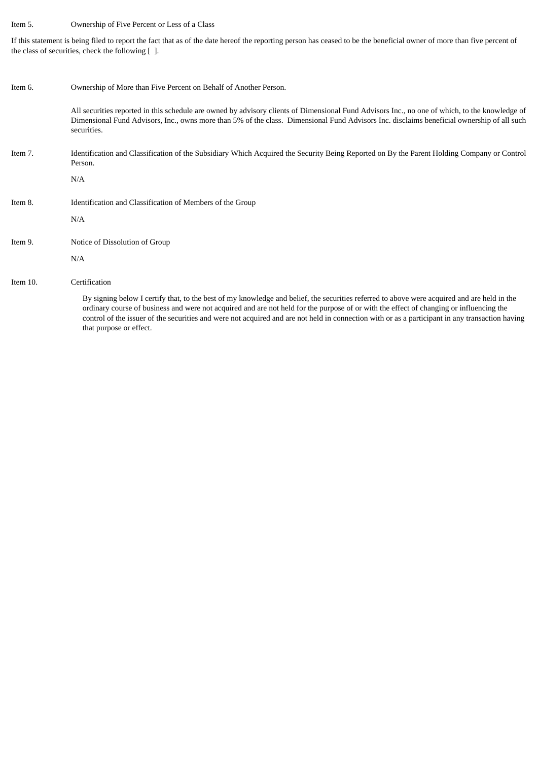## Item 5. Ownership of Five Percent or Less of a Class

If this statement is being filed to report the fact that as of the date hereof the reporting person has ceased to be the beneficial owner of more than five percent of the class of securities, check the following [ ].

| Item 6.  | Ownership of More than Five Percent on Behalf of Another Person.                                                                                                                                                                                                                                                                                                                                                                                                     |  |  |  |
|----------|----------------------------------------------------------------------------------------------------------------------------------------------------------------------------------------------------------------------------------------------------------------------------------------------------------------------------------------------------------------------------------------------------------------------------------------------------------------------|--|--|--|
|          | All securities reported in this schedule are owned by advisory clients of Dimensional Fund Advisors Inc., no one of which, to the knowledge of<br>Dimensional Fund Advisors, Inc., owns more than 5% of the class. Dimensional Fund Advisors Inc. disclaims beneficial ownership of all such<br>securities.                                                                                                                                                          |  |  |  |
| Item 7.  | Identification and Classification of the Subsidiary Which Acquired the Security Being Reported on By the Parent Holding Company or Control<br>Person.                                                                                                                                                                                                                                                                                                                |  |  |  |
|          | N/A                                                                                                                                                                                                                                                                                                                                                                                                                                                                  |  |  |  |
| Item 8.  | Identification and Classification of Members of the Group                                                                                                                                                                                                                                                                                                                                                                                                            |  |  |  |
|          | N/A                                                                                                                                                                                                                                                                                                                                                                                                                                                                  |  |  |  |
| Item 9.  | Notice of Dissolution of Group                                                                                                                                                                                                                                                                                                                                                                                                                                       |  |  |  |
|          | N/A                                                                                                                                                                                                                                                                                                                                                                                                                                                                  |  |  |  |
| Item 10. | Certification                                                                                                                                                                                                                                                                                                                                                                                                                                                        |  |  |  |
|          | By signing below I certify that, to the best of my knowledge and belief, the securities referred to above were acquired and are held in the<br>ordinary course of business and were not acquired and are not held for the purpose of or with the effect of changing or influencing the<br>control of the issuer of the securities and were not acquired and are not held in connection with or as a participant in any transaction having<br>that purpose or effect. |  |  |  |